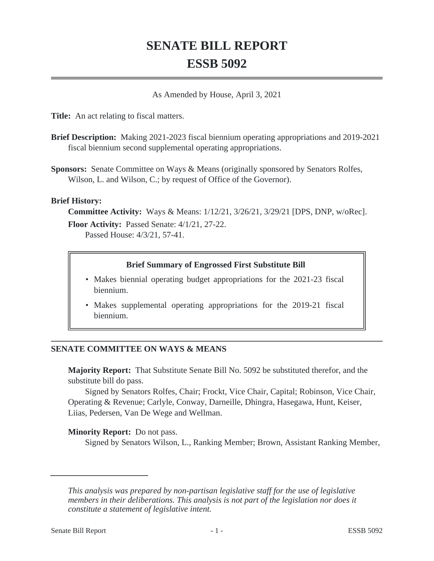# **SENATE BILL REPORT ESSB 5092**

As Amended by House, April 3, 2021

**Title:** An act relating to fiscal matters.

- **Brief Description:** Making 2021-2023 fiscal biennium operating appropriations and 2019-2021 fiscal biennium second supplemental operating appropriations.
- **Sponsors:** Senate Committee on Ways & Means (originally sponsored by Senators Rolfes, Wilson, L. and Wilson, C.; by request of Office of the Governor).

### **Brief History:**

**Committee Activity:** Ways & Means: 1/12/21, 3/26/21, 3/29/21 [DPS, DNP, w/oRec]. **Floor Activity:** Passed Senate: 4/1/21, 27-22. Passed House: 4/3/21, 57-41.

### **Brief Summary of Engrossed First Substitute Bill**

- Makes biennial operating budget appropriations for the 2021-23 fiscal biennium.
- Makes supplemental operating appropriations for the 2019-21 fiscal biennium.

# **SENATE COMMITTEE ON WAYS & MEANS**

**Majority Report:** That Substitute Senate Bill No. 5092 be substituted therefor, and the substitute bill do pass.

Signed by Senators Rolfes, Chair; Frockt, Vice Chair, Capital; Robinson, Vice Chair, Operating & Revenue; Carlyle, Conway, Darneille, Dhingra, Hasegawa, Hunt, Keiser, Liias, Pedersen, Van De Wege and Wellman.

### **Minority Report:** Do not pass.

Signed by Senators Wilson, L., Ranking Member; Brown, Assistant Ranking Member,

*This analysis was prepared by non-partisan legislative staff for the use of legislative members in their deliberations. This analysis is not part of the legislation nor does it constitute a statement of legislative intent.*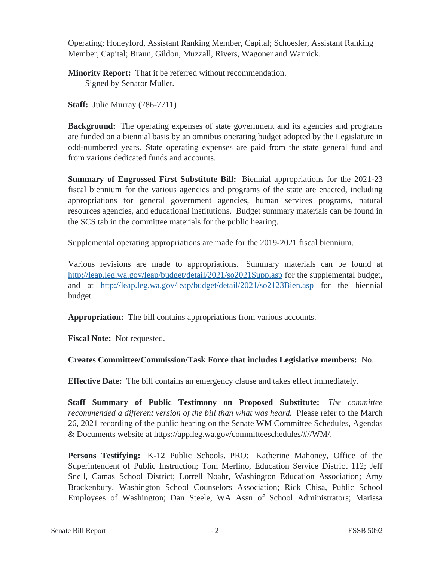Operating; Honeyford, Assistant Ranking Member, Capital; Schoesler, Assistant Ranking Member, Capital; Braun, Gildon, Muzzall, Rivers, Wagoner and Warnick.

**Minority Report:** That it be referred without recommendation. Signed by Senator Mullet.

**Staff:** Julie Murray (786-7711)

**Background:** The operating expenses of state government and its agencies and programs are funded on a biennial basis by an omnibus operating budget adopted by the Legislature in odd-numbered years. State operating expenses are paid from the state general fund and from various dedicated funds and accounts.

**Summary of Engrossed First Substitute Bill:** Biennial appropriations for the 2021-23 fiscal biennium for the various agencies and programs of the state are enacted, including appropriations for general government agencies, human services programs, natural resources agencies, and educational institutions. Budget summary materials can be found in the SCS tab in the committee materials for the public hearing.

Supplemental operating appropriations are made for the 2019-2021 fiscal biennium.

Various revisions are made to appropriations. Summary materials can be found at <http://leap.leg.wa.gov/leap/budget/detail/2021/so2021Supp.asp>for the supplemental budget, and at <http://leap.leg.wa.gov/leap/budget/detail/2021/so2123Bien.asp>for the biennial budget.

**Appropriation:** The bill contains appropriations from various accounts.

**Fiscal Note:** Not requested.

**Creates Committee/Commission/Task Force that includes Legislative members:** No.

**Effective Date:** The bill contains an emergency clause and takes effect immediately.

**Staff Summary of Public Testimony on Proposed Substitute:** *The committee recommended a different version of the bill than what was heard.* Please refer to the March 26, 2021 recording of the public hearing on the Senate WM Committee Schedules, Agendas & Documents website at https://app.leg.wa.gov/committeeschedules/#//WM/.

Persons Testifying: K-12 Public Schools. PRO: Katherine Mahoney, Office of the Superintendent of Public Instruction; Tom Merlino, Education Service District 112; Jeff Snell, Camas School District; Lorrell Noahr, Washington Education Association; Amy Brackenbury, Washington School Counselors Association; Rick Chisa, Public School Employees of Washington; Dan Steele, WA Assn of School Administrators; Marissa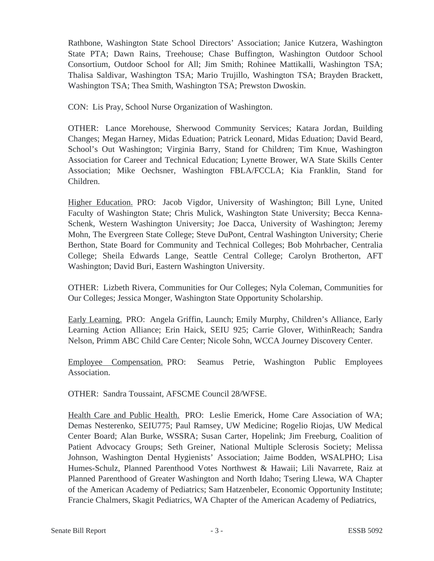Rathbone, Washington State School Directors' Association; Janice Kutzera, Washington State PTA; Dawn Rains, Treehouse; Chase Buffington, Washington Outdoor School Consortium, Outdoor School for All; Jim Smith; Rohinee Mattikalli, Washington TSA; Thalisa Saldivar, Washington TSA; Mario Trujillo, Washington TSA; Brayden Brackett, Washington TSA; Thea Smith, Washington TSA; Prewston Dwoskin.

CON: Lis Pray, School Nurse Organization of Washington.

OTHER: Lance Morehouse, Sherwood Community Services; Katara Jordan, Building Changes; Megan Harney, Midas Eduation; Patrick Leonard, Midas Eduation; David Beard, School's Out Washington; Virginia Barry, Stand for Children; Tim Knue, Washington Association for Career and Technical Education; Lynette Brower, WA State Skills Center Association; Mike Oechsner, Washington FBLA/FCCLA; Kia Franklin, Stand for Children.

Higher Education. PRO: Jacob Vigdor, University of Washington; Bill Lyne, United Faculty of Washington State; Chris Mulick, Washington State University; Becca Kenna-Schenk, Western Washington University; Joe Dacca, University of Washington; Jeremy Mohn, The Evergreen State College; Steve DuPont, Central Washington University; Cherie Berthon, State Board for Community and Technical Colleges; Bob Mohrbacher, Centralia College; Sheila Edwards Lange, Seattle Central College; Carolyn Brotherton, AFT Washington; David Buri, Eastern Washington University.

OTHER: Lizbeth Rivera, Communities for Our Colleges; Nyla Coleman, Communities for Our Colleges; Jessica Monger, Washington State Opportunity Scholarship.

Early Learning. PRO: Angela Griffin, Launch; Emily Murphy, Children's Alliance, Early Learning Action Alliance; Erin Haick, SEIU 925; Carrie Glover, WithinReach; Sandra Nelson, Primm ABC Child Care Center; Nicole Sohn, WCCA Journey Discovery Center.

Employee Compensation. PRO: Seamus Petrie, Washington Public Employees Association.

OTHER: Sandra Toussaint, AFSCME Council 28/WFSE.

Health Care and Public Health. PRO: Leslie Emerick, Home Care Association of WA; Demas Nesterenko, SEIU775; Paul Ramsey, UW Medicine; Rogelio Riojas, UW Medical Center Board; Alan Burke, WSSRA; Susan Carter, Hopelink; Jim Freeburg, Coalition of Patient Advocacy Groups; Seth Greiner, National Multiple Sclerosis Society; Melissa Johnson, Washington Dental Hygienists' Association; Jaime Bodden, WSALPHO; Lisa Humes-Schulz, Planned Parenthood Votes Northwest & Hawaii; Lili Navarrete, Raiz at Planned Parenthood of Greater Washington and North Idaho; Tsering Llewa, WA Chapter of the American Academy of Pediatrics; Sam Hatzenbeler, Economic Opportunity Institute; Francie Chalmers, Skagit Pediatrics, WA Chapter of the American Academy of Pediatrics,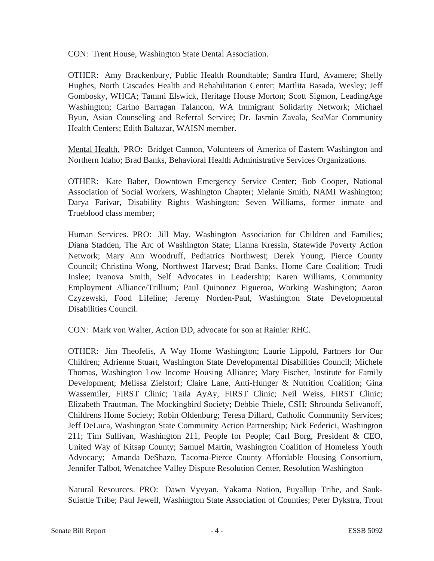CON: Trent House, Washington State Dental Association.

OTHER: Amy Brackenbury, Public Health Roundtable; Sandra Hurd, Avamere; Shelly Hughes, North Cascades Health and Rehabilitation Center; Martlita Basada, Wesley; Jeff Gombosky, WHCA; Tammi Elswick, Heritage House Morton; Scott Sigmon, LeadingAge Washington; Carino Barragan Talancon, WA Immigrant Solidarity Network; Michael Byun, Asian Counseling and Referral Service; Dr. Jasmin Zavala, SeaMar Community Health Centers; Edith Baltazar, WAISN member.

Mental Health. PRO: Bridget Cannon, Volunteers of America of Eastern Washington and Northern Idaho; Brad Banks, Behavioral Health Administrative Services Organizations.

OTHER: Kate Baber, Downtown Emergency Service Center; Bob Cooper, National Association of Social Workers, Washington Chapter; Melanie Smith, NAMI Washington; Darya Farivar, Disability Rights Washington; Seven Williams, former inmate and Trueblood class member;

Human Services. PRO: Jill May, Washington Association for Children and Families; Diana Stadden, The Arc of Washington State; Lianna Kressin, Statewide Poverty Action Network; Mary Ann Woodruff, Pediatrics Northwest; Derek Young, Pierce County Council; Christina Wong, Northwest Harvest; Brad Banks, Home Care Coalition; Trudi Inslee; Ivanova Smith, Self Advocates in Leadership; Karen Williams, Community Employment Alliance/Trillium; Paul Quinonez Figueroa, Working Washington; Aaron Czyzewski, Food Lifeline; Jeremy Norden-Paul, Washington State Developmental Disabilities Council.

CON: Mark von Walter, Action DD, advocate for son at Rainier RHC.

OTHER: Jim Theofelis, A Way Home Washington; Laurie Lippold, Partners for Our Children; Adrienne Stuart, Washington State Developmental Disabilities Council; Michele Thomas, Washington Low Income Housing Alliance; Mary Fischer, Institute for Family Development; Melissa Zielstorf; Claire Lane, Anti-Hunger & Nutrition Coalition; Gina Wassemiler, FIRST Clinic; Taila AyAy, FIRST Clinic; Neil Weiss, FIRST Clinic; Elizabeth Trautman, The Mockingbird Society; Debbie Thiele, CSH; Shrounda Selivanoff, Childrens Home Society; Robin Oldenburg; Teresa Dillard, Catholic Community Services; Jeff DeLuca, Washington State Community Action Partnership; Nick Federici, Washington 211; Tim Sullivan, Washington 211, People for People; Carl Borg, President & CEO, United Way of Kitsap County; Samuel Martin, Washington Coalition of Homeless Youth Advocacy; Amanda DeShazo, Tacoma-Pierce County Affordable Housing Consortium, Jennifer Talbot, Wenatchee Valley Dispute Resolution Center, Resolution Washington

Natural Resources. PRO: Dawn Vyvyan, Yakama Nation, Puyallup Tribe, and Sauk-Suiattle Tribe; Paul Jewell, Washington State Association of Counties; Peter Dykstra, Trout